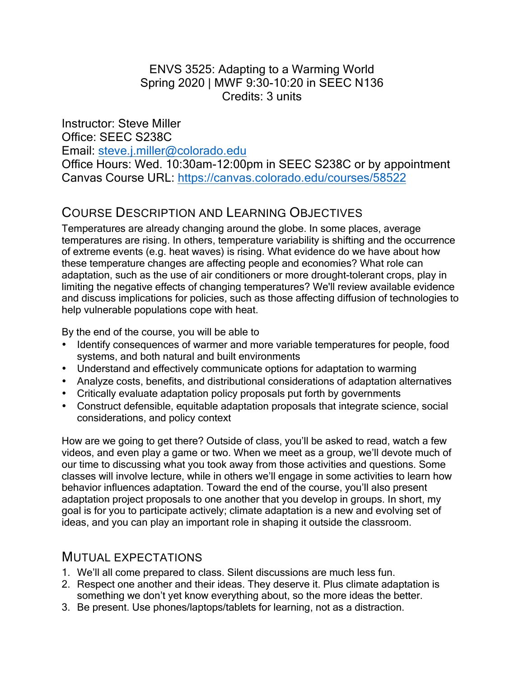#### ENVS 3525: Adapting to a Warming World Spring 2020 | MWF 9:30-10:20 in SEEC N136 Credits: 3 units

Instructor: Steve Miller Office: SEEC S238C Email: steve.j.miller@colorado.edu Office Hours: Wed. 10:30am-12:00pm in SEEC S238C or by appointment Canvas Course URL: https://canvas.colorado.edu/courses/58522

### COURSE DESCRIPTION AND LEARNING OBJECTIVES

Temperatures are already changing around the globe. In some places, average temperatures are rising. In others, temperature variability is shifting and the occurrence of extreme events (e.g. heat waves) is rising. What evidence do we have about how these temperature changes are affecting people and economies? What role can adaptation, such as the use of air conditioners or more drought-tolerant crops, play in limiting the negative effects of changing temperatures? We'll review available evidence and discuss implications for policies, such as those affecting diffusion of technologies to help vulnerable populations cope with heat.

By the end of the course, you will be able to

- Identify consequences of warmer and more variable temperatures for people, food systems, and both natural and built environments
- Understand and effectively communicate options for adaptation to warming
- Analyze costs, benefits, and distributional considerations of adaptation alternatives
- Critically evaluate adaptation policy proposals put forth by governments
- Construct defensible, equitable adaptation proposals that integrate science, social considerations, and policy context

How are we going to get there? Outside of class, you'll be asked to read, watch a few videos, and even play a game or two. When we meet as a group, we'll devote much of our time to discussing what you took away from those activities and questions. Some classes will involve lecture, while in others we'll engage in some activities to learn how behavior influences adaptation. Toward the end of the course, you'll also present adaptation project proposals to one another that you develop in groups. In short, my goal is for you to participate actively; climate adaptation is a new and evolving set of ideas, and you can play an important role in shaping it outside the classroom.

#### MUTUAL EXPECTATIONS

- 1. We'll all come prepared to class. Silent discussions are much less fun.
- 2. Respect one another and their ideas. They deserve it. Plus climate adaptation is something we don't yet know everything about, so the more ideas the better.
- 3. Be present. Use phones/laptops/tablets for learning, not as a distraction.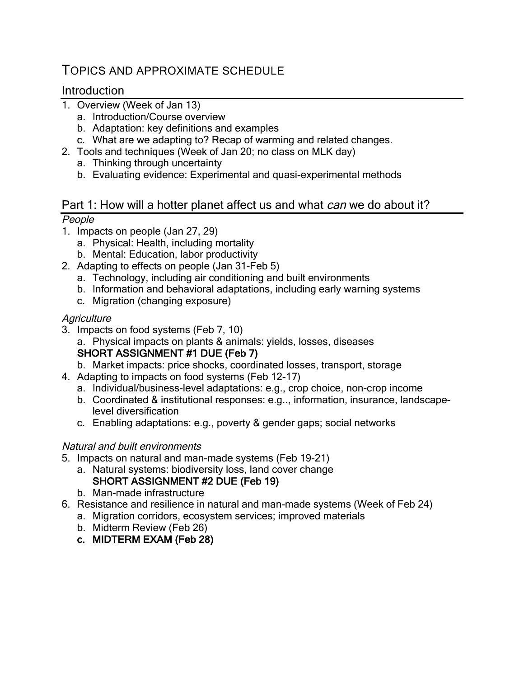### TOPICS AND APPROXIMATE SCHEDULE

#### Introduction

- 1. Overview (Week of Jan 13)
	- a. Introduction/Course overview
	- b. Adaptation: key definitions and examples
	- c. What are we adapting to? Recap of warming and related changes.
- 2. Tools and techniques (Week of Jan 20; no class on MLK day)
	- a. Thinking through uncertainty
	- b. Evaluating evidence: Experimental and quasi-experimental methods

# Part 1: How will a hotter planet affect us and what *can* we do about it?

### People

- 1. Impacts on people (Jan 27, 29)
	- a. Physical: Health, including mortality
	- b. Mental: Education, labor productivity
- 2. Adapting to effects on people (Jan 31-Feb 5)
	- a. Technology, including air conditioning and built environments
	- b. Information and behavioral adaptations, including early warning systems
	- c. Migration (changing exposure)

#### **Agriculture**

- 3. Impacts on food systems (Feb 7, 10)
	- a. Physical impacts on plants & animals: yields, losses, diseases

#### SHORT ASSIGNMENT #1 DUE (Feb 7)

b. Market impacts: price shocks, coordinated losses, transport, storage

- 4. Adapting to impacts on food systems (Feb 12-17)
	- a. Individual/business-level adaptations: e.g., crop choice, non-crop income
	- b. Coordinated & institutional responses: e.g.., information, insurance, landscapelevel diversification
	- c. Enabling adaptations: e.g., poverty & gender gaps; social networks

#### Natural and built environments

- 5. Impacts on natural and man-made systems (Feb 19-21)
	- a. Natural systems: biodiversity loss, land cover change SHORT ASSIGNMENT #2 DUE (Feb 19)
	- b. Man-made infrastructure
- 6. Resistance and resilience in natural and man-made systems (Week of Feb 24)
	- a. Migration corridors, ecosystem services; improved materials
	- b. Midterm Review (Feb 26)
	- c. MIDTERM EXAM (Feb 28)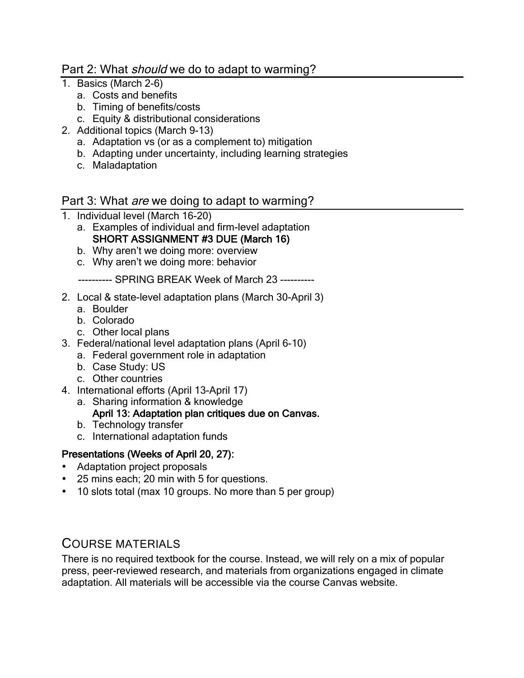#### Part 2: What *should* we do to adapt to warming?

- 1. Basics (March 2-6)
	- a. Costs and benefits
	- b. Timing of benefits/costs
	- c. Equity & distributional considerations
- 2. Additional topics (March 9-13)
	- a. Adaptation vs (or as a complement to) mitigation
	- b. Adapting under uncertainty, including learning strategies
	- c. Maladaptation

#### Part 3: What *are* we doing to adapt to warming?

- 1. Individual level (March 16-20)
	- a. Examples of individual and firm-level adaptation SHORT ASSIGNMENT #3 DUE (March 16)
	- b. Why aren't we doing more: overview
	- c. Why aren't we doing more: behavior

---------- SPRING BREAK Week of March 23 ----------

- 2. Local & state-level adaptation plans (March 30-April 3)
	- a. Boulder
	- b. Colorado
	- c. Other local plans
- 3. Federal/national level adaptation plans (April 6-10)
	- a. Federal government role in adaptation
	- b. Case Study: US
	- c. Other countries
- 4. International efforts (April 13-April 17)
	- a. Sharing information & knowledge

#### April 13: Adaptation plan critiques due on Canvas.

- b. Technology transfer
- c. International adaptation funds

#### Presentations (Weeks of April 20, 27):

- Adaptation project proposals
- 25 mins each; 20 min with 5 for questions.
- 10 slots total (max 10 groups. No more than 5 per group)

#### COURSE MATERIALS

There is no required textbook for the course. Instead, we will rely on a mix of popular press, peer-reviewed research, and materials from organizations engaged in climate adaptation. All materials will be accessible via the course Canvas website.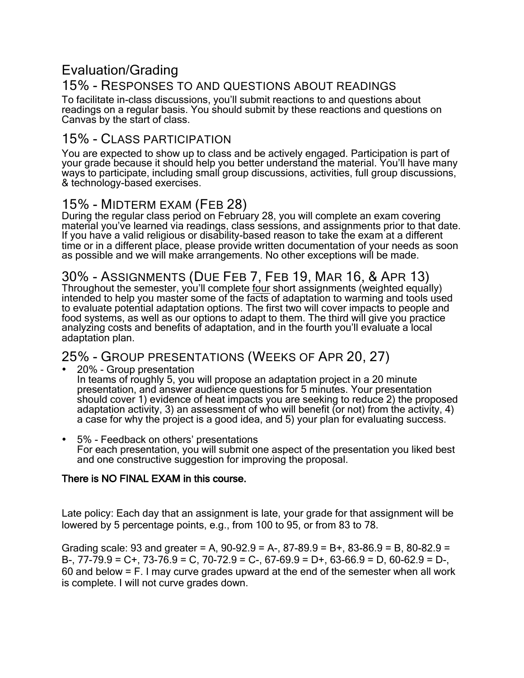### Evaluation/Grading

### 15% - RESPONSES TO AND QUESTIONS ABOUT READINGS

To facilitate in-class discussions, you'll submit reactions to and questions about readings on a regular basis. You should submit by these reactions and questions on Canvas by the start of class.

### 15% - CLASS PARTICIPATION

You are expected to show up to class and be actively engaged. Participation is part of your grade because it should help you better understand the material. You'll have many ways to participate, including small group discussions, activities, full group discussions, & technology-based exercises.

### 15% - MIDTERM EXAM (FEB 28)

During the regular class period on February 28, you will complete an exam covering material you've learned via readings, class sessions, and assignments prior to that date. If you have a valid religious or disability-based reason to take the exam at a different time or in a different place, please provide written documentation of your needs as soon as possible and we will make arrangements. No other exceptions will be made.

### 30% - ASSIGNMENTS (DUE FEB 7, FEB 19, MAR 16, & APR 13)

Throughout the semester, you'll complete four short assignments (weighted equally) intended to help you master some of the facts of adaptation to warming and tools used to evaluate potential adaptation options. The first two will cover impacts to people and food systems, as well as our options to adapt to them. The third will give you practice analyzing costs and benefits of adaptation, and in the fourth you'll evaluate a local adaptation plan.

### 25% - GROUP PRESENTATIONS (WEEKS OF APR 20, 27)

• 20% - Group presentation In teams of roughly 5, you will propose an adaptation project in a 20 minute presentation, and answer audience questions for 5 minutes. Your presentation should cover 1) evidence of heat impacts you are seeking to reduce 2) the proposed adaptation activity, 3) an assessment of who will benefit (or not) from the activity, 4) a case for why the project is a good idea, and 5) your plan for evaluating success.

• 5% - Feedback on others' presentations For each presentation, you will submit one aspect of the presentation you liked best and one constructive suggestion for improving the proposal.

#### There is NO FINAL EXAM in this course.

Late policy: Each day that an assignment is late, your grade for that assignment will be lowered by 5 percentage points, e.g., from 100 to 95, or from 83 to 78.

Grading scale: 93 and greater = A,  $90-92.9 = A-$ ,  $87-89.9 = B+$ ,  $83-86.9 = B$ ,  $80-82.9 =$ B-, 77-79.9 = C+, 73-76.9 = C, 70-72.9 = C-, 67-69.9 = D+, 63-66.9 = D, 60-62.9 = D-, 60 and below = F. I may curve grades upward at the end of the semester when all work is complete. I will not curve grades down.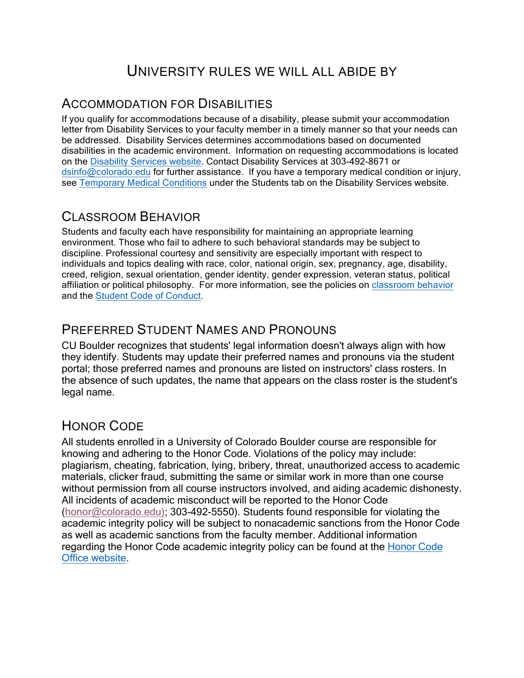# UNIVERSITY RULES WE WILL ALL ABIDE BY

### ACCOMMODATION FOR DISABILITIES

If you qualify for accommodations because of a disability, please submit your accommodation letter from Disability Services to your faculty member in a timely manner so that your needs can be addressed. Disability Services determines accommodations based on documented disabilities in the academic environment. Information on requesting accommodations is located on the Disability Services website. Contact Disability Services at 303-492-8671 or dsinfo@colorado.edu for further assistance. If you have a temporary medical condition or injury, see Temporary Medical Conditions under the Students tab on the Disability Services website.

### CLASSROOM BEHAVIOR

Students and faculty each have responsibility for maintaining an appropriate learning environment. Those who fail to adhere to such behavioral standards may be subject to discipline. Professional courtesy and sensitivity are especially important with respect to individuals and topics dealing with race, color, national origin, sex, pregnancy, age, disability, creed, religion, sexual orientation, gender identity, gender expression, veteran status, political affiliation or political philosophy. For more information, see the policies on classroom behavior and the Student Code of Conduct.

### PREFERRED STUDENT NAMES AND PRONOUNS

CU Boulder recognizes that students' legal information doesn't always align with how they identify. Students may update their preferred names and pronouns via the student portal; those preferred names and pronouns are listed on instructors' class rosters. In the absence of such updates, the name that appears on the class roster is the student's legal name.

### HONOR CODE

All students enrolled in a University of Colorado Boulder course are responsible for knowing and adhering to the Honor Code. Violations of the policy may include: plagiarism, cheating, fabrication, lying, bribery, threat, unauthorized access to academic materials, clicker fraud, submitting the same or similar work in more than one course without permission from all course instructors involved, and aiding academic dishonesty. All incidents of academic misconduct will be reported to the Honor Code (honor@colorado.edu); 303-492-5550). Students found responsible for violating the academic integrity policy will be subject to nonacademic sanctions from the Honor Code as well as academic sanctions from the faculty member. Additional information regarding the Honor Code academic integrity policy can be found at the Honor Code Office website.